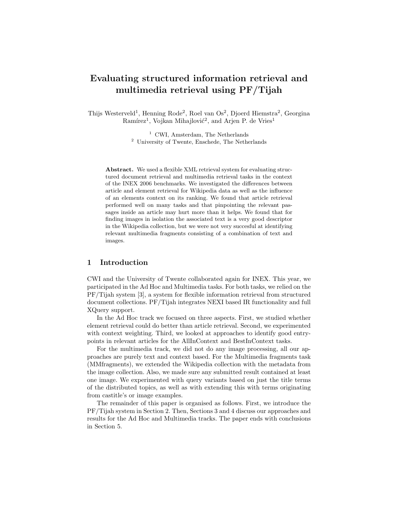# Evaluating structured information retrieval and multimedia retrieval using PF/Tijah

Thijs Westerveld<sup>1</sup>, Henning Rode<sup>2</sup>, Roel van Os<sup>2</sup>, Djoerd Hiemstra<sup>2</sup>, Georgina Ramírez<sup>1</sup>, Vojkan Mihajlović<sup>2</sup>, and Arjen P. de Vries<sup>1</sup>

> <sup>1</sup> CWI, Amsterdam, The Netherlands <sup>2</sup> University of Twente, Enschede, The Netherlands

Abstract. We used a flexible XML retrieval system for evaluating structured document retrieval and multimedia retrieval tasks in the context of the INEX 2006 benchmarks. We investigated the differences between article and element retrieval for Wikipedia data as well as the influence of an elements context on its ranking. We found that article retrieval performed well on many tasks and that pinpointing the relevant passages inside an article may hurt more than it helps. We found that for finding images in isolation the associated text is a very good descriptor in the Wikipedia collection, but we were not very succesful at identifying relevant multimedia fragments consisting of a combination of text and images.

## 1 Introduction

CWI and the University of Twente collaborated again for INEX. This year, we participated in the Ad Hoc and Multimedia tasks. For both tasks, we relied on the PF/Tijah system [3], a system for flexible information retrieval from structured document collections. PF/Tijah integrates NEXI based IR functionality and full XQuery support.

In the Ad Hoc track we focused on three aspects. First, we studied whether element retrieval could do better than article retrieval. Second, we experimented with context weighting. Third, we looked at approaches to identify good entrypoints in relevant articles for the AllInContext and BestInContext tasks.

For the multimedia track, we did not do any image processing, all our approaches are purely text and context based. For the Multimedia fragments task (MMfragments), we extended the Wikipedia collection with the metadata from the image collection. Also, we made sure any submitted result contained at least one image. We experimented with query variants based on just the title terms of the distributed topics, as well as with extending this with terms originating from castitle's or image examples.

The remainder of this paper is organised as follows. First, we introduce the PF/Tijah system in Section 2. Then, Sections 3 and 4 discuss our approaches and results for the Ad Hoc and Multimedia tracks. The paper ends with conclusions in Section 5.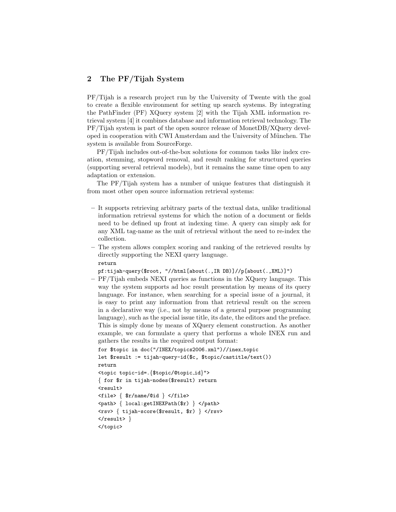# 2 The PF/Tijah System

PF/Tijah is a research project run by the University of Twente with the goal to create a flexible environment for setting up search systems. By integrating the PathFinder (PF) XQuery system [2] with the Tijah XML information retrieval system [4] it combines database and information retrieval technology. The PF/Tijah system is part of the open source release of MonetDB/XQuery developed in cooperation with CWI Amsterdam and the University of München. The system is available from SourceForge.

PF/Tijah includes out-of-the-box solutions for common tasks like index creation, stemming, stopword removal, and result ranking for structured queries (supporting several retrieval models), but it remains the same time open to any adaptation or extension.

The PF/Tijah system has a number of unique features that distinguish it from most other open source information retrieval systems:

- It supports retrieving arbitrary parts of the textual data, unlike traditional information retrieval systems for which the notion of a document or fields need to be defined up front at indexing time. A query can simply ask for any XML tag-name as the unit of retrieval without the need to re-index the collection.
- The system allows complex scoring and ranking of the retrieved results by directly supporting the NEXI query language.

return

pf:tijah-query(\$root, "//html[about(.,IR DB)]//p[about(.,XML)]")

– PF/Tijah embeds NEXI queries as functions in the XQuery language. This way the system supports ad hoc result presentation by means of its query language. For instance, when searching for a special issue of a journal, it is easy to print any information from that retrieval result on the screen in a declarative way (i.e., not by means of a general purpose programming language), such as the special issue title, its date, the editors and the preface. This is simply done by means of XQuery element construction. As another example, we can formulate a query that performs a whole INEX run and gathers the results in the required output format:

```
for $topic in doc("/INEX/topics2006.xml")//inex topic
let $result := tijah-query-id($c, $topic/castitle/text())
return
<topic topic-id=.{$topic/@topic id}">
{ for $r in tijah-nodes($result) return
<result>
<file> { $r/name/@id } </file>
<path> { local:getINEXPath($r) } </path>
\langlersv> \{ tijah-score($result, $r) \} \langle/rsv>
\langleresult> }
</topic>
```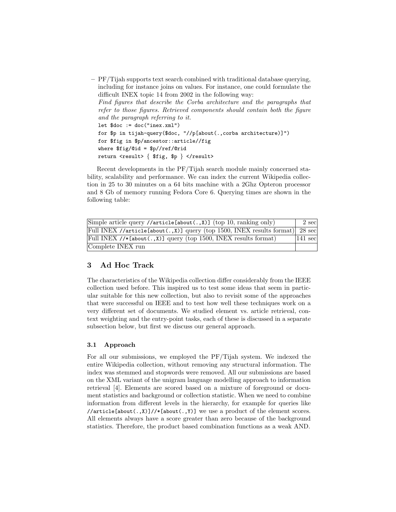$-$  PF/Tijah supports text search combined with traditional database querying, including for instance joins on values. For instance, one could formulate the difficult INEX topic 14 from 2002 in the following way: Find figures that describe the Corba architecture and the paragraphs that refer to those figures. Retrieved components should contain both the figure and the paragraph referring to it. let \$doc := doc("inex.xml") for \$p in tijah-query(\$doc, "//p[about(.,corba architecture)]")

for \$fig in \$p/ancestor::article//fig where \$fig/@id = \$p//ref/@rid return <result> {  $f{fig, fp}$   $\langle$  /result>

Recent developments in the PF/Tijah search module mainly concerned stability, scalability and performance. We can index the current Wikipedia collection in 25 to 30 minutes on a 64 bits machine with a 2Ghz Opteron processor and 8 Gb of memory running Fedora Core 6. Querying times are shown in the following table:

| Simple article query //article[about(., $x$ )] (top 10, ranking only)                         | 2 sec               |
|-----------------------------------------------------------------------------------------------|---------------------|
| Full INEX //article[about(., $x$ )] query (top 1500, INEX results format)  28 sec             |                     |
| Full INEX $\frac{\gamma}{\epsilon}$ [about $\ldots$ x)] query (top 1500, INEX results format) | $ 141 \text{ sec} $ |
| Complete INEX run                                                                             |                     |

# 3 Ad Hoc Track

The characteristics of the Wikipedia collection differ considerably from the IEEE collection used before. This inspired us to test some ideas that seem in particular suitable for this new collection, but also to revisit some of the approaches that were successful on IEEE and to test how well these techniques work on a very different set of documents. We studied element vs. article retrieval, context weighting and the entry-point tasks, each of these is discussed in a separate subsection below, but first we discuss our general approach.

### 3.1 Approach

For all our submissions, we employed the PF/Tijah system. We indexed the entire Wikipedia collection, without removing any structural information. The index was stemmed and stopwords were removed. All our submissions are based on the XML variant of the unigram language modelling approach to information retrieval [4]. Elements are scored based on a mixture of foreground or document statistics and background or collection statistic. When we need to combine information from different levels in the hierarchy, for example for queries like //article[about(.,X)]//\*[about(.,Y)] we use a product of the element scores. All elements always have a score greater than zero because of the background statistics. Therefore, the product based combination functions as a weak AND.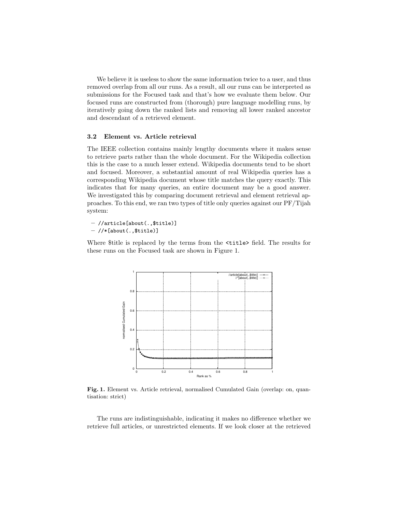We believe it is useless to show the same information twice to a user, and thus removed overlap from all our runs. As a result, all our runs can be interpreted as submissions for the Focused task and that's how we evaluate them below. Our focused runs are constructed from (thorough) pure language modelling runs, by iteratively going down the ranked lists and removing all lower ranked ancestor and descendant of a retrieved element.

#### 3.2 Element vs. Article retrieval

The IEEE collection contains mainly lengthy documents where it makes sense to retrieve parts rather than the whole document. For the Wikipedia collection this is the case to a much lesser extend. Wikipedia documents tend to be short and focused. Moreover, a substantial amount of real Wikipedia queries has a corresponding Wikipedia document whose title matches the query exactly. This indicates that for many queries, an entire document may be a good answer. We investigated this by comparing document retrieval and element retrieval approaches. To this end, we ran two types of title only queries against our PF/Tijah system:

– //article[about(.,\$title)] – //\*[about(.,\$title)]

Where \$title is replaced by the terms from the  $\text{title}$  field. The results for these runs on the Focused task are shown in Figure 1.



Fig. 1. Element vs. Article retrieval, normalised Cumulated Gain (overlap: on, quantisation: strict)

The runs are indistinguishable, indicating it makes no difference whether we retrieve full articles, or unrestricted elements. If we look closer at the retrieved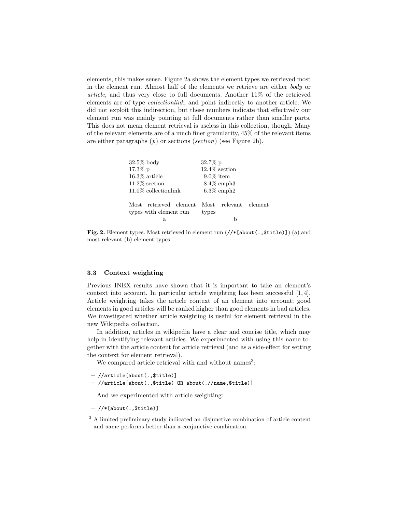elements, this makes sense. Figure 2a shows the element types we retrieved most in the element run. Almost half of the elements we retrieve are either body or article, and thus very close to full documents. Another 11% of the retrieved elements are of type collectionlink, and point indirectly to another article. We did not exploit this indirection, but these numbers indicate that effectively our element run was mainly pointing at full documents rather than smaller parts. This does not mean element retrieval is useless in this collection, though. Many of the relevant elements are of a much finer granularity, 45% of the relevant items are either paragraphs  $(p)$  or sections (section) (see Figure 2b).

| $32.5\%$ body                                    | $32.7\%$ p                     |  |
|--------------------------------------------------|--------------------------------|--|
| $17.3\%$ p                                       | $12.4\%$ section               |  |
| $16.3\%$ article                                 | $9.0\%$ item                   |  |
| $11.2\%$ section                                 | $8.4\%$ emph <sub>3</sub>      |  |
| $11.0\%$ collectionlink                          | $6.3\%$ emph <sub>2</sub>      |  |
| Most retrieved element<br>types with element run | Most relevant element<br>types |  |
| a                                                | h                              |  |

Fig. 2. Element types. Most retrieved in element run (//\*[about(.,\$title)]) (a) and most relevant (b) element types

#### 3.3 Context weighting

Previous INEX results have shown that it is important to take an element's context into account. In particular article weighting has been successful [1, 4]. Article weighting takes the article context of an element into account; good elements in good articles will be ranked higher than good elements in bad articles. We investigated whether article weighting is useful for element retrieval in the new Wikipedia collection.

In addition, articles in wikipedia have a clear and concise title, which may help in identifying relevant articles. We experimented with using this name together with the article content for article retrieval (and as a side-effect for setting the context for element retrieval).

We compared article retrieval with and without names<sup>3</sup>:

```
– //article[about(.,$title)]
```
– //article[about(.,\$title) OR about(.//name,\$title)]

And we experimented with article weighting:

– //\*[about(.,\$title)]

<sup>&</sup>lt;sup>3</sup> A limited preliminary study indicated an disjunctive combination of article content and name performs better than a conjunctive combination.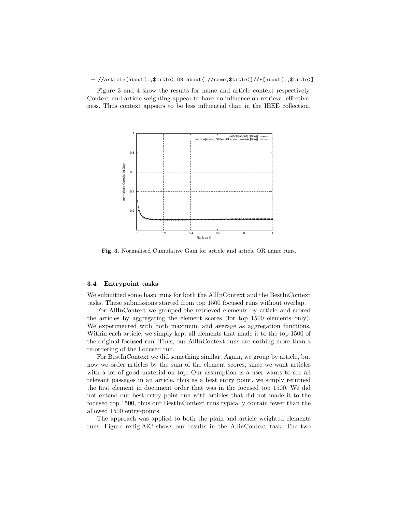– //article[about(.,\$title) OR about(.//name,\$title)]//\*[about(.,\$title)]

Figure 3 and 4 show the results for name and article context respectively. Context and article weighting appear to have no influence on retrieval effectiveness. Thus context appears to be less influential than in the IEEE collection.



Fig. 3. Normalised Cumulative Gain for article and article OR name runs.

### 3.4 Entrypoint tasks

We submitted some basic runs for both the AllInContext and the BestInContext tasks. These submissions started from top 1500 focused runs without overlap.

For AllInContext we grouped the retrieved elements by article and scored the articles by aggregating the element scores (for top 1500 elements only). We experimented with both maximum and average as aggregation functions. Within each article, we simply kept all elements that made it to the top 1500 of the original focused run. Thus, our AllInContext runs are nothing more than a re-ordering of the Focused run.

For BestInContext we did something similar. Again, we group by article, but now we order articles by the sum of the element scores, since we want articles with a lot of good material on top. Our assumption is a user wants to see all relevant passages in an article, thus as a best entry point, we simply returned the first element in document order that was in the focused top 1500. We did not extend our best entry point run with articles that did not made it to the focused top 1500, thus our BestInContext runs typically contain fewer than the allowed 1500 entry-points.

The approach was applied to both the plain and article weighted elements runs. Figure reffig:AiC shows our results in the AllinContext task. The two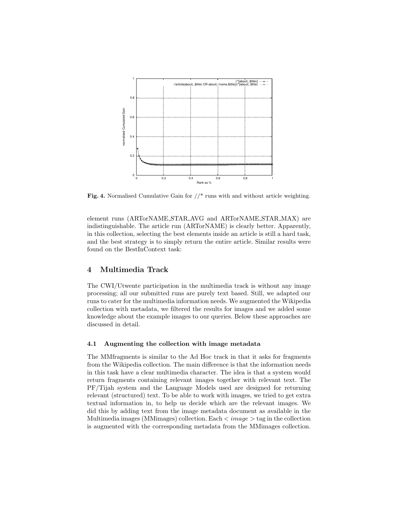

Fig. 4. Normalised Cumulative Gain for  $/\prime^*$  runs with and without article weighting.

element runs (ARTorNAME\_STAR\_AVG and ARTorNAME\_STAR\_MAX) are indistinguishable. The article run (ARTorNAME) is clearly better. Apparently, in this collection, selecting the best elements inside an article is still a hard task, and the best strategy is to simply return the entire article. Similar results were found on the BestInContext task:

# 4 Multimedia Track

The CWI/Utwente participation in the multimedia track is without any image processing; all our submitted runs are purely text based. Still, we adapted our runs to cater for the multimedia information needs. We augmented the Wikipedia collection with metadata, we filtered the results for images and we added some knowledge about the example images to our queries. Below these approaches are discussed in detail.

### 4.1 Augmenting the collection with image metadata

The MMfragments is similar to the Ad Hoc track in that it asks for fragments from the Wikipedia collection. The main difference is that the information needs in this task have a clear multimedia character. The idea is that a system would return fragments containing relevant images together with relevant text. The PF/Tijah system and the Language Models used are designed for returning relevant (structured) text. To be able to work with images, we tried to get extra textual information in, to help us decide which are the relevant images. We did this by adding text from the image metadata document as available in the Multimedia images (MMimages) collection. Each  $\langle$  image  $\rangle$  tag in the collection is augmented with the corresponding metadata from the MMimages collection.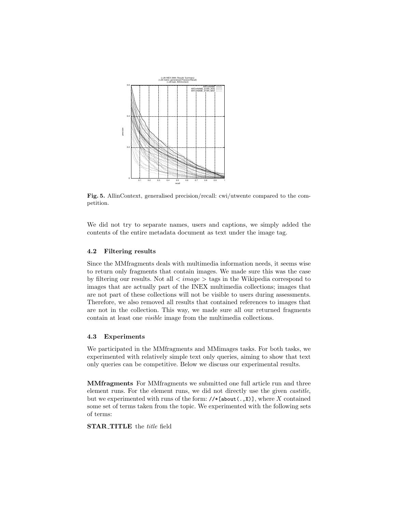

Fig. 5. AllinContext, generalised precision/recall: cwi/utwente compared to the competition.

We did not try to separate names, users and captions, we simply added the contents of the entire metadata document as text under the image tag.

### 4.2 Filtering results

Since the MMfragments deals with multimedia information needs, it seems wise to return only fragments that contain images. We made sure this was the case by filtering our results. Not all  $\langle image \rangle$  tags in the Wikipedia correspond to images that are actually part of the INEX multimedia collections; images that are not part of these collections will not be visible to users during assessments. Therefore, we also removed all results that contained references to images that are not in the collection. This way, we made sure all our returned fragments contain at least one visible image from the multimedia collections.

#### 4.3 Experiments

We participated in the MMfragments and MMimages tasks. For both tasks, we experimented with relatively simple text only queries, aiming to show that text only queries can be competitive. Below we discuss our experimental results.

MMfragments For MMfragments we submitted one full article run and three element runs. For the element runs, we did not directly use the given castitle, but we experimented with runs of the form:  $\ell$  (about  $(.,\mathbf{x})$ ), where X contained some set of terms taken from the topic. We experimented with the following sets of terms:

### STAR\_TITLE the title field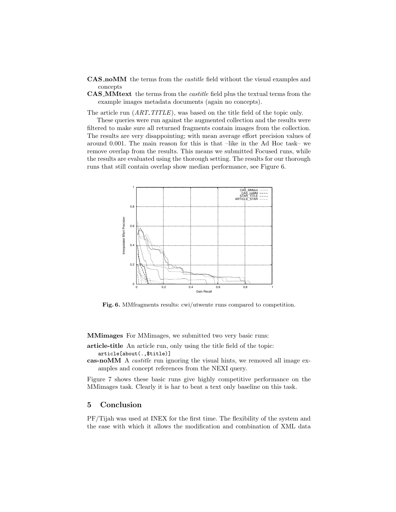- CAS noMM the terms from the castitle field without the visual examples and concepts
- CAS MMtext the terms from the castitle field plus the textual terms from the example images metadata documents (again no concepts).

The article run (ART\_TITLE), was based on the title field of the topic only.

These queries were run against the augmented collection and the results were filtered to make sure all returned fragments contain images from the collection. The results are very disappointing; with mean average effort precision values of around 0.001. The main reason for this is that –like in the Ad Hoc task– we remove overlap from the results. This means we submitted Focused runs, while the results are evaluated using the thorough setting. The results for our thorough runs that still contain overlap show median performance, see Figure 6.



Fig. 6. MMfragments results: cwi/utwente runs compared to competition.

MMimages For MMimages, we submitted two very basic runs:

article-title An article run, only using the title field of the topic:

- article[about(.,\$title)]
- cas-noMM A castitle run ignoring the visual hints, we removed all image examples and concept references from the NEXI query.

Figure 7 shows these basic runs give highly competitive performance on the MMimages task. Clearly it is har to beat a text only baseline on this task.

# 5 Conclusion

PF/Tijah was used at INEX for the first time. The flexibility of the system and the ease with which it allows the modification and combination of XML data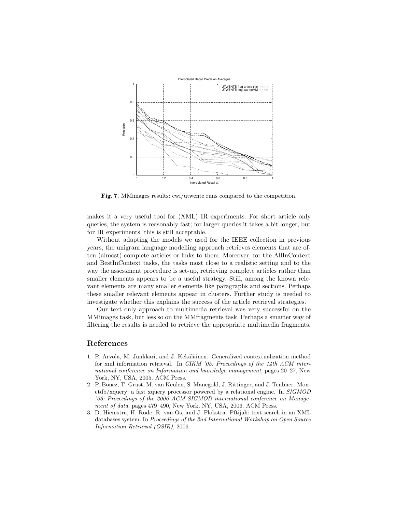

Fig. 7. MMimages results: cwi/utwente runs compared to the competition.

makes it a very useful tool for (XML) IR experiments. For short article only queries, the system is reasonably fast; for larger queries it takes a bit longer, but for IR experiments, this is still acceptable.

Without adapting the models we used for the IEEE collection in previous years, the unigram language modelling approach retrieves elements that are often (almost) complete articles or links to them. Moreover, for the AllInContext and BestInContext tasks, the tasks most close to a realistic setting and to the way the assessment procedure is set-up, retrieving complete articles rather than smaller elements appears to be a useful strategy. Still, among the known relevant elements are many smaller elements like paragraphs and sections. Perhaps these smaller relevant elements appear in clusters. Further study is needed to investigate whether this explains the success of the article retrieval strategies.

Our text only approach to multimedia retrieval was very successful on the MMimages task, but less so on the MMfragments task. Perhaps a smarter way of filtering the results is needed to retrieve the appropriate multimedia fragments.

### References

- 1. P. Arvola, M. Junkkari, and J. Kekäläinen. Generalized contextualization method for xml information retrieval. In CIKM '05: Proceedings of the 14th ACM international conference on Information and knowledge management, pages 20–27, New York, NY, USA, 2005. ACM Press.
- 2. P. Boncz, T. Grust, M. van Keulen, S. Manegold, J. Rittinger, and J. Teubner. Monetdb/xquery: a fast xquery processor powered by a relational engine. In SIGMOD '06: Proceedings of the 2006 ACM SIGMOD international conference on Management of data, pages 479–490, New York, NY, USA, 2006. ACM Press.
- 3. D. Hiemstra, H. Rode, R. van Os, and J. Flokstra. Pftijah: text search in an XML databases system. In Proceedings of the 2nd International Workshop on Open Source Information Retrieval (OSIR), 2006.